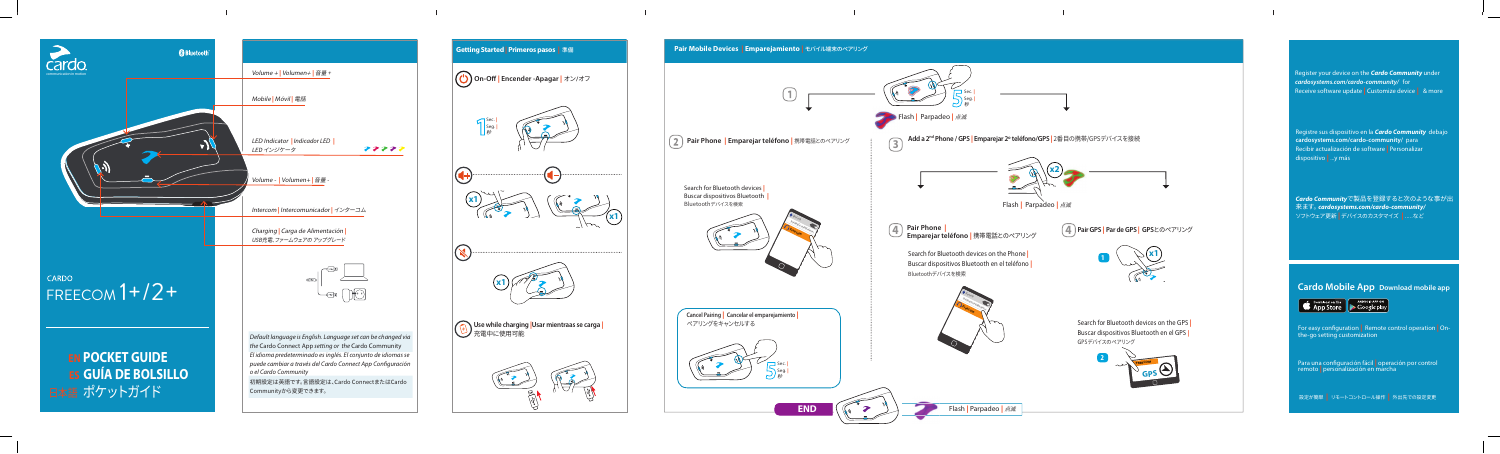

Search for Bluetooth devices | Buscar dispositivos Bluetooth | Bluetoothデバイスを検索



| Cancel Pairing   Canc<br>ペアリングをキャンセ |
|-------------------------------------|
|                                     |
|                                     |

**GPS FREECOM**



## **| Pair Mobile Devices | Emparejamiento | モバイル端末のペアリング**

**2**



Registre sus dispositivo en la **Cardo Community** debajo cardosystems.com/cardo-community/ para Recibir actualización de software **Personalizar** dispositivo más y...**|**

## .Sec Seg. 秒 Flash 点滅 **|** Parpadeo**| | Pair Phone | Emparejar teléfono |** 携帯電話とのペアリング **Add a 2㎡ Phone / GPS <mark>|</mark> Emparejar 2º teléfono/GPS |** 2番目の携帯/GPSデバイスを接続  $\circled{3}$ **34 2x** Flash 点滅 **|** Parpadeo**| Bluetooth Freecom** devices and **4** Pair Phone | ┃<br>eléfono l 準帯電話とのペア!!〉が GPS <mark>Par de GPS | GPS</mark>とのペアリング **ON** *|* Emparejar teléfono | 携帯電話とのペアリング Search for Bluetooth devices on the Phone **1**  $\sqrt{x1}$ **1** Buscar dispositivos Bluetooth en el teléfono <mark>|</mark> Bluetoothデバイスを検索 **Bluetooth Freecom** devices available devices **ON ancelar** el emparejamiento 2ルする Search for Bluetooth devices on the GPS | Buscar dispositivos Bluetooth en el GPS <u>|</u> GPSデバイスのペアリング



Register your device on the **Cardo Community** under *cardosystems.com/cardo-community/* for Receive software update **Customize device** | & more

**END**

*Community*で製品を登録すると次のような事が出 *Cardo* **入り、 来ます。 cardosystems.com/cardo-community/** ソフトウェア更新 デバイスのカスタマイズ**|** など.....**|**

**abbally** Cardo Mobile App Download mobile app



For easy configuration | Remote control operation | On-<br>the-go setting customization

Para una configuración fácil | operación por control<br>remoto <mark>|</mark> personalización en marcha

設定が簡単 リモートコントロール操作**|** 外出先での設定変更**|**